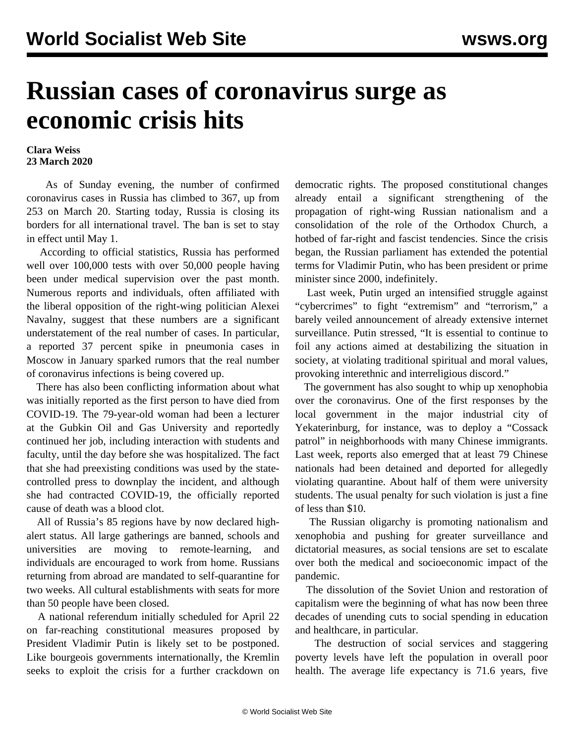## **Russian cases of coronavirus surge as economic crisis hits**

## **Clara Weiss 23 March 2020**

 As of Sunday evening, the number of confirmed coronavirus cases in Russia has climbed to 367, up from 253 on March 20. Starting today, Russia is closing its borders for all international travel. The ban is set to stay in effect until May 1.

 According to official statistics, Russia has performed well over 100,000 tests with over 50,000 people having been under medical supervision over the past month. Numerous reports and individuals, often affiliated with the liberal opposition of the right-wing politician Alexei Navalny, suggest that these numbers are a significant understatement of the real number of cases. In particular, a reported 37 percent spike in pneumonia cases in Moscow in January sparked rumors that the real number of coronavirus infections is being covered up.

 There has also been conflicting information about what was initially reported as the first person to have died from COVID-19. The 79-year-old woman had been a lecturer at the Gubkin Oil and Gas University and reportedly continued her job, including interaction with students and faculty, until the day before she was hospitalized. The fact that she had preexisting conditions was used by the statecontrolled press to downplay the incident, and although she had contracted COVID-19, the officially reported cause of death was a blood clot.

 All of Russia's 85 regions have by now declared highalert status. All large gatherings are banned, schools and universities are moving to remote-learning, and individuals are encouraged to work from home. Russians returning from abroad are mandated to self-quarantine for two weeks. All cultural establishments with seats for more than 50 people have been closed.

 A national referendum initially scheduled for April 22 on far-reaching constitutional measures proposed by President Vladimir Putin is likely set to be postponed. Like bourgeois governments internationally, the Kremlin seeks to exploit the crisis for a further crackdown on

democratic rights. The proposed constitutional changes already entail a significant strengthening of the propagation of right-wing Russian nationalism and a consolidation of the role of the Orthodox Church, a hotbed of far-right and fascist tendencies. Since the crisis began, the Russian parliament has [extended the potential](/en/articles/2020/03/12/russ-m12.html) [terms](/en/articles/2020/03/12/russ-m12.html) for Vladimir Putin, who has been president or prime minister since 2000, indefinitely.

 Last week, Putin urged an intensified struggle against "cybercrimes" to fight "extremism" and "terrorism," a barely veiled announcement of already extensive internet surveillance. Putin stressed, "It is essential to continue to foil any actions aimed at destabilizing the situation in society, at violating traditional spiritual and moral values, provoking interethnic and interreligious discord."

 The government has also sought to whip up xenophobia over the coronavirus. [One of the first responses](/en/articles/2020/03/03/covr-m03.html) by the local government in the major industrial city of Yekaterinburg, for instance, was to deploy a "Cossack patrol" in neighborhoods with many Chinese immigrants. Last week, reports also emerged that at least 79 Chinese nationals had been detained and deported for allegedly violating quarantine. About half of them were university students. The usual penalty for such violation is just a fine of less than \$10.

 The Russian oligarchy is promoting nationalism and xenophobia and pushing for greater surveillance and dictatorial measures, as social tensions are set to escalate over both the medical and socioeconomic impact of the pandemic.

 The dissolution of the Soviet Union and restoration of capitalism were the beginning of what has now been three decades of unending cuts to social spending in education and healthcare, in particular.

 The destruction of social services and staggering poverty levels have left the population in overall poor health. The average life expectancy is 71.6 years, five